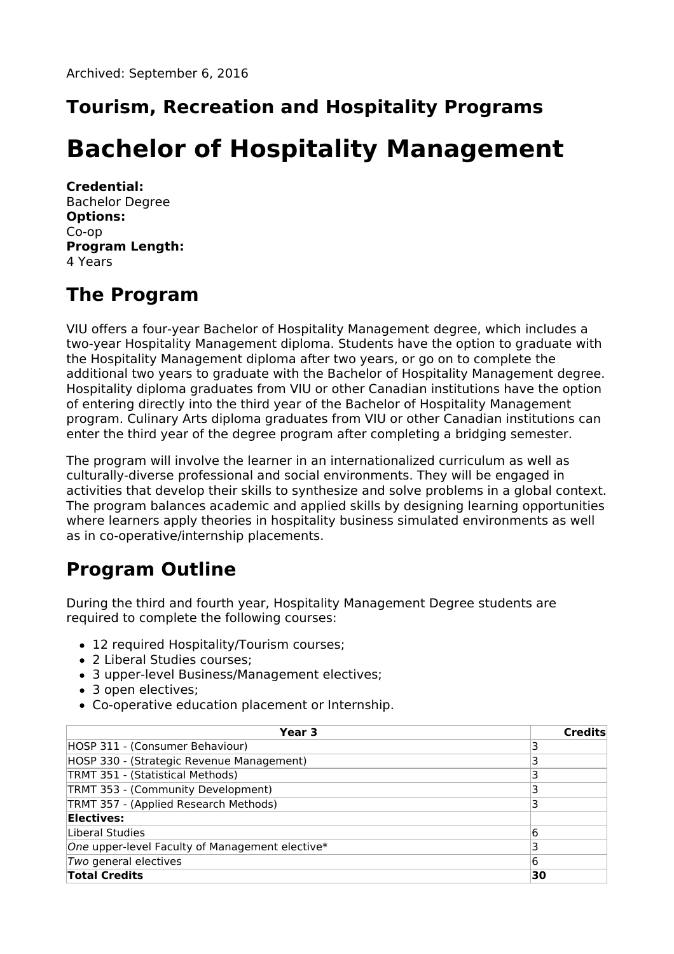# **Tourism, Recreation and Hospitality Programs**

# **Bachelor of Hospitality Management**

**Credential:** Bachelor Degree **Options:** Co-op **Program Length:** 4 Years

### **The Program**

VIU offers a four-year Bachelor of Hospitality Management degree, which includes a two-year Hospitality Management diploma. Students have the option to graduate with the Hospitality Management diploma after two years, or go on to complete the additional two years to graduate with the Bachelor of Hospitality Management degree. Hospitality diploma graduates from VIU or other Canadian institutions have the option of entering directly into the third year of the Bachelor of Hospitality Management program. Culinary Arts diploma graduates from VIU or other Canadian institutions can enter the third year of the degree program after completing a bridging semester.

The program will involve the learner in an internationalized curriculum as well as culturally-diverse professional and social environments. They will be engaged in activities that develop their skills to synthesize and solve problems in a global context. The program balances academic and applied skills by designing learning opportunities where learners apply theories in hospitality business simulated environments as well as in co-operative/internship placements.

# **Program Outline**

During the third and fourth year, Hospitality Management Degree students are required to complete the following courses:

- 12 required Hospitality/Tourism courses;
- 2 Liberal Studies courses;
- 3 upper-level Business/Management electives;
- 3 open electives;
- Co-operative education placement or Internship.

| Year 3                                          | Credits |
|-------------------------------------------------|---------|
| HOSP 311 - (Consumer Behaviour)                 |         |
| HOSP 330 - (Strategic Revenue Management)       |         |
| TRMT 351 - (Statistical Methods)                | 3       |
| TRMT 353 - (Community Development)              |         |
| TRMT 357 - (Applied Research Methods)           |         |
| Electives:                                      |         |
| Liberal Studies                                 | 6       |
| One upper-level Faculty of Management elective* | 3       |
| Two general electives                           | 6       |
| <b>Total Credits</b>                            | 30      |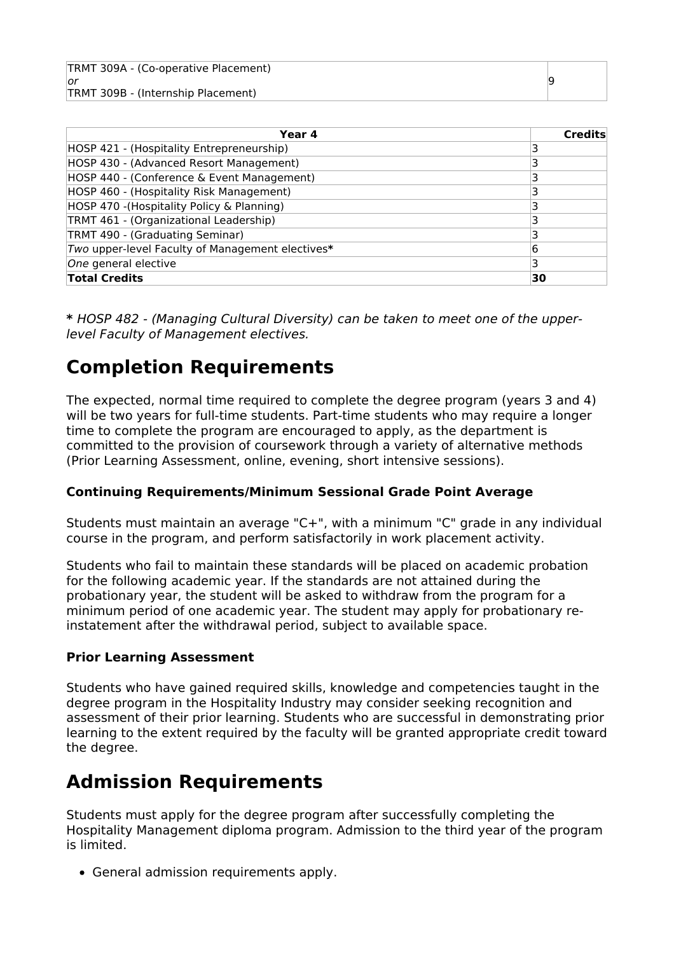TRMT 309A - (Co-operative Placement) or TRMT 309B - (Internship Placement)

| Year 4                                           | <b>Credits</b> |
|--------------------------------------------------|----------------|
| HOSP 421 - (Hospitality Entrepreneurship)        |                |
| HOSP 430 - (Advanced Resort Management)          |                |
| HOSP 440 - (Conference & Event Management)       |                |
| HOSP 460 - (Hospitality Risk Management)         | 3              |
| HOSP 470 - (Hospitality Policy & Planning)       |                |
| TRMT 461 - (Organizational Leadership)           | 3              |
| TRMT 490 - (Graduating Seminar)                  | 3              |
| Two upper-level Faculty of Management electives* | 6              |
| One general elective                             | 3              |
| <b>Total Credits</b>                             | 30             |

**\*** HOSP 482 - (Managing Cultural Diversity) can be taken to meet one of the upperlevel Faculty of Management electives.

### **Completion Requirements**

The expected, normal time required to complete the degree program (years 3 and 4) will be two years for full-time students. Part-time students who may require a longer time to complete the program are encouraged to apply, as the department is committed to the provision of coursework through a variety of alternative methods (Prior Learning Assessment, online, evening, short intensive sessions).

#### **Continuing Requirements/Minimum Sessional Grade Point Average**

Students must maintain an average "C+", with a minimum "C" grade in any individual course in the program, and perform satisfactorily in work placement activity.

Students who fail to maintain these standards will be placed on academic probation for the following academic year. If the standards are not attained during the probationary year, the student will be asked to withdraw from the program for a minimum period of one academic year. The student may apply for probationary reinstatement after the withdrawal period, subject to available space.

#### **Prior Learning Assessment**

Students who have gained required skills, knowledge and competencies taught in the degree program in the Hospitality Industry may consider seeking recognition and assessment of their prior learning. Students who are successful in demonstrating prior learning to the extent required by the faculty will be granted appropriate credit toward the degree.

### **Admission Requirements**

Students must apply for the degree program after successfully completing the Hospitality Management diploma program. Admission to the third year of the program is limited.

General admission requirements apply.

9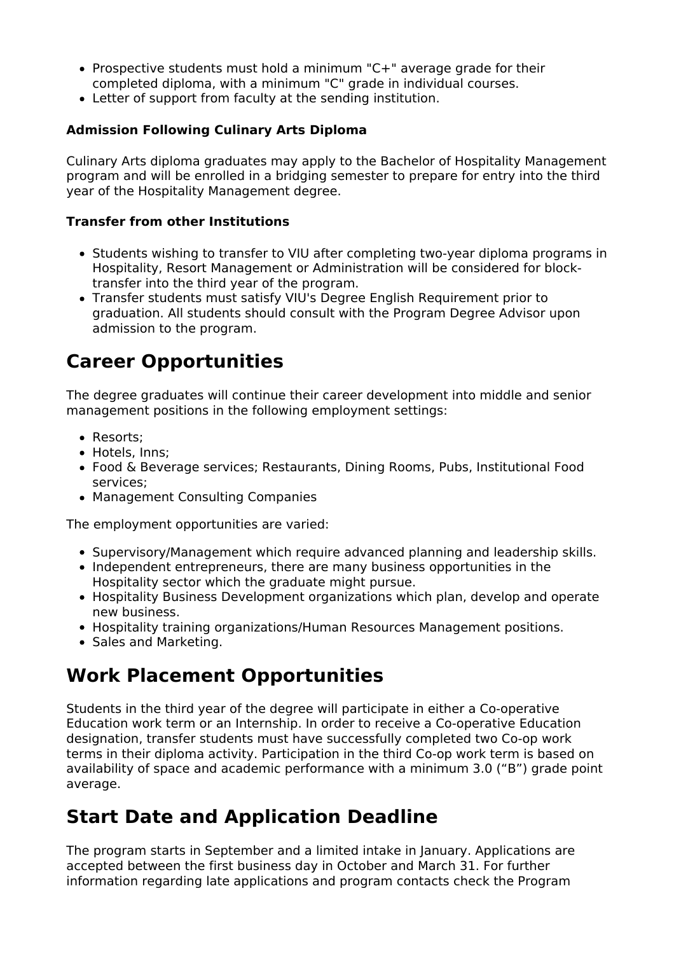- Prospective students must hold a minimum "C+" average grade for their completed diploma, with a minimum "C" grade in individual courses.
- Letter of support from faculty at the sending institution.

#### **Admission Following Culinary Arts Diploma**

Culinary Arts diploma graduates may apply to the Bachelor of Hospitality Management program and will be enrolled in a bridging semester to prepare for entry into the third year of the Hospitality Management degree.

#### **Transfer from other Institutions**

- Students wishing to transfer to VIU after completing two-year diploma programs in Hospitality, Resort Management or Administration will be considered for blocktransfer into the third year of the program.
- Transfer students must satisfy VIU's Degree English Requirement prior to graduation. All students should consult with the Program Degree Advisor upon admission to the program.

### **Career Opportunities**

The degree graduates will continue their career development into middle and senior management positions in the following employment settings:

- Resorts;
- Hotels, Inns;
- Food & Beverage services; Restaurants, Dining Rooms, Pubs, Institutional Food services;
- Management Consulting Companies

The employment opportunities are varied:

- Supervisory/Management which require advanced planning and leadership skills.
- Independent entrepreneurs, there are many business opportunities in the Hospitality sector which the graduate might pursue.
- Hospitality Business Development organizations which plan, develop and operate new business.
- Hospitality training organizations/Human Resources Management positions.
- Sales and Marketing.

#### **Work Placement Opportunities**

Students in the third year of the degree will participate in either a Co-operative Education work term or an Internship. In order to receive a Co-operative Education designation, transfer students must have successfully completed two Co-op work terms in their diploma activity. Participation in the third Co-op work term is based on availability of space and academic performance with a minimum 3.0 ("B") grade point average.

#### **Start Date and Application Deadline**

The program starts in September and a limited intake in January. Applications are accepted between the first business day in October and March 31. For further information regarding late applications and program contacts check the Program